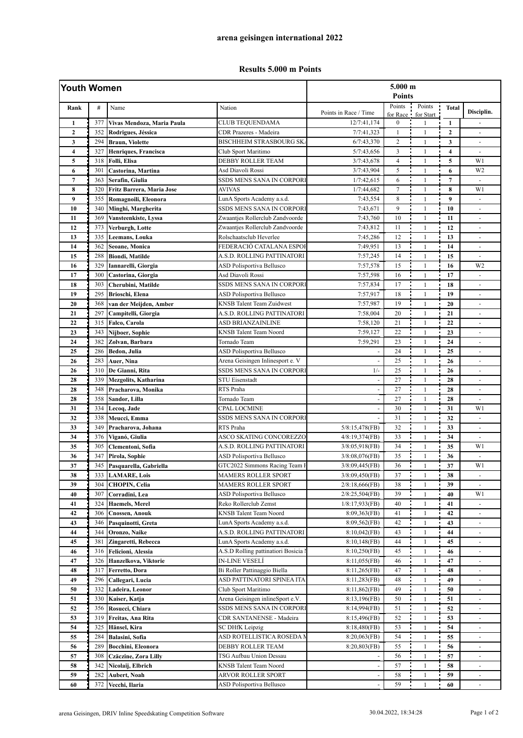## **Results 5.000 m Points**

| Youth Women    |     |                             |                                                            | 5.000 m<br><b>Points</b> |                    |                     |                         |                          |  |
|----------------|-----|-----------------------------|------------------------------------------------------------|--------------------------|--------------------|---------------------|-------------------------|--------------------------|--|
| Rank           | #   | Name                        | Nation                                                     | Points in Race / Time    | Points<br>for Race | Points<br>for Start | <b>Total</b>            | Disciplin.               |  |
| $\mathbf{1}$   | 377 | Vivas Mendoza, Maria Paula  | CLUB TEQUENDAMA                                            | 12/7:41,174              | $\boldsymbol{0}$   | $\mathbf{1}$        | $\mathbf{1}$            |                          |  |
| $\mathbf{2}$   | 352 | Rodrigues, Jéssica          | <b>CDR</b> Prazeres - Madeira                              | 7/7:41,323               | $\mathbf{1}$       | $\mathbf{1}$        | $\mathbf{2}$            |                          |  |
| 3              | 294 | <b>Braun, Violette</b>      | <b>BISCHHEIM STRASBOURG SK.</b>                            | 6/7:43,370               | $\overline{c}$     | $\mathbf{1}$        | 3                       |                          |  |
| 4              | 327 | Henriques, Francisca        | Club Sport Maritimo                                        | 5/7:43,656               | $\overline{3}$     | $\mathbf{1}$        | $\overline{\mathbf{4}}$ | $\omega$                 |  |
| 5              | 318 | Folli, Elisa                | DEBBY ROLLER TEAM                                          | 3/7:43,678               | $\overline{4}$     | $\mathbf{1}$        | 5                       | W1                       |  |
| 6              | 301 | Castorina, Martina          | Asd Diavoli Rossi                                          | 3/7:43,904               | 5                  | $\mathbf{1}$        | 6                       | W <sub>2</sub>           |  |
| $\overline{7}$ | 363 | Serafin, Giulia             | SSDS MENS SANA IN CORPORI                                  | 1/7:42,615               | 6                  | $\mathbf{1}$        | $\overline{7}$          |                          |  |
| 8              | 320 | Fritz Barrera, Maria Jose   | <b>AVIVAS</b>                                              | 1/7:44,682               | $\overline{7}$     | $\mathbf{1}$        | 8                       | W1                       |  |
| 9              | 355 | Romagnoili, Eleonora        | LunA Sports Academy a.s.d.                                 | 7:43,554                 | 8                  | $\mathbf{1}$        | 9                       | $\omega$                 |  |
| 10             | 340 | Minghi, Margherita          | SSDS MENS SANA IN CORPORI                                  | 7:43,671                 | 9                  | $\mathbf{1}$        | 10                      | $\overline{\phantom{a}}$ |  |
| 11             | 369 | Vansteenkiste, Lyssa        | Zwaantjes Rollerclub Zandvoorde                            | 7:43,760                 | 10                 | $\mathbf{1}$        | 11                      | $\sim$                   |  |
| 12             | 373 | Verburgh, Lotte             | Zwaantjes Rollerclub Zandvoorde                            | 7:43,812                 | 11                 | $\mathbf{1}$        | 12                      | $\blacksquare$           |  |
| 13             | 335 | Leemans, Louka              | Rolschaatsclub Heverlee                                    | 7:45,286                 | 12                 | $\mathbf{1}$        | 13                      | $\blacksquare$           |  |
| 14             | 362 | Seoane, Monica              | FEDERACIÓ CATALANA ESPOI                                   | 7:49,951                 | 13                 | $\mathbf{1}$        | 14                      |                          |  |
| 15             | 288 | <b>Biondi, Matilde</b>      | A.S.D. ROLLING PATTINATORI                                 | 7:57,245                 | 14                 | $\mathbf{1}$        | 15                      | $\blacksquare$           |  |
| 16             | 329 | Iannarelli, Giorgia         | ASD Polisportiva Bellusco                                  | 7:57,578                 | 15                 | 1                   | 16                      | W <sub>2</sub>           |  |
| 17             | 300 | Castorina, Giorgia          | Asd Diavoli Rossi                                          | 7:57,598                 | 16                 | $\mathbf{1}$        | 17                      |                          |  |
| 18             | 303 | Cherubini, Matilde          | SSDS MENS SANA IN CORPORI                                  | 7:57,834                 | 17                 | $\mathbf{1}$        | 18                      | $\overline{a}$           |  |
| 19             | 295 | <b>Brioschi</b> , Elena     | ASD Polisportiva Bellusco                                  | 7:57,917                 | 18                 | $\mathbf{1}$        | 19                      | $\blacksquare$           |  |
| 20             | 368 | van der Meijden, Amber      | <b>KNSB</b> Talent Team Zuidwest                           | 7:57,987                 | 19                 | $\mathbf{1}$        | 20                      | ä,                       |  |
| 21             | 297 | Campitelli, Giorgia         | A.S.D. ROLLING PATTINATORI                                 | 7:58,004                 | 20                 | $\mathbf{1}$        | 21                      | $\overline{\phantom{a}}$ |  |
| 22             | 315 | Falco, Carola               | ASD BRIANZAINLINE                                          | 7:58,120                 | 21                 | $\mathbf{1}$        | 22                      | ä,                       |  |
| 23             | 343 | Nijboer, Sophie             | <b>KNSB</b> Talent Team Noord                              | 7:59,127                 | 22                 | $\mathbf{1}$        | 23                      |                          |  |
| 24             | 382 | Zolvan, Barbara             | Tornado Team                                               | 7:59,291                 | 23                 | $\mathbf{1}$        | 24                      |                          |  |
| 25             | 286 | Bedon, Julia                | ASD Polisportiva Bellusco                                  |                          | 24                 | $\mathbf{1}$        | 25                      | $\omega$                 |  |
| 26             | 283 | Auer, Nina                  | Arena Geisingen Inlinesport e. V                           | ä,                       | 25                 | $\mathbf{1}$        | 26                      | $\overline{\phantom{a}}$ |  |
| 26             | 310 | De Gianni, Rita             | SSDS MENS SANA IN CORPORI                                  | $1/-$                    | 25                 | $\mathbf{1}$        | 26                      |                          |  |
| 28             | 339 | <b>Mezgolits, Katharina</b> | <b>STU Eisenstadt</b>                                      |                          | 27                 | $\mathbf{1}$        | 28                      | $\sim$                   |  |
| 28             | 348 | Pracharova, Monika          | RTS Praha                                                  |                          | 27                 | $\mathbf{1}$        | 28                      | ÷,                       |  |
| 28             | 358 | Sandor, Lilla               | Tornado Team                                               |                          | 27                 | $\mathbf{1}$        | 28                      | $\omega$                 |  |
| 31             | 334 | Lecoq, Jade                 | <b>CPAL LOCMINE</b>                                        |                          | 30                 | $\mathbf{1}$        | 31                      | W1                       |  |
| 32             | 338 | Meucci, Emma                | SSDS MENS SANA IN CORPORI                                  |                          | 31                 | $\mathbf{1}$        | 32                      | $\blacksquare$           |  |
| 33             | 349 | Pracharova, Johana          | RTS Praha                                                  | 5/8:15,478(FB)           | 32                 | $\mathbf{1}$        | 33                      | $\overline{a}$           |  |
| 34             | 376 | Viganó, Giulia              | <b>ASCO SKATING CONCOREZZO</b>                             | 4/8:19,374(FB)           | 33                 | $\mathbf{1}$        | 34                      | ÷,                       |  |
| 35             | 305 | Clementoni, Sofia           | A.S.D. ROLLING PATTINATORI                                 | 3/8:05,918(FB)           | 34                 | $\mathbf{1}$        | 35                      | W1                       |  |
| 36             | 347 | Pirola, Sophie              | <b>ASD Polisportiva Bellusco</b>                           | $3/8:08,076$ (FB)        | 35                 | $\mathbf{1}$        | 36                      | $\blacksquare$           |  |
| 37             | 345 | Pasquarella, Gabriella      | GTC2022 Simmons Racing Team I                              | $3/8:09,445$ (FB)        | 36                 | $\mathbf{1}$        | 37                      | W1                       |  |
| 38             | 333 | <b>LAMARE, Lois</b>         | <b>MAMERS ROLLER SPORT</b>                                 | 3/8:09,450(FB)           | 37                 | 1                   | 38                      |                          |  |
| 39             | 304 | <b>CHOPIN, Celia</b>        | <b>MAMERS ROLLER SPORT</b>                                 | $2/8:18,666$ (FB)        | 38                 | $\mathbf{1}$        | 39                      |                          |  |
| 40             | 307 | Corradini, Lea              | ASD Polisportiva Bellusco                                  | 2/8:25,504(FB)           | 39                 | $\mathbf{1}$        | 40                      | W1                       |  |
| 41             | 324 | <b>Haemels</b> , Merel      | Reko Rollerclub Zemst                                      | 1/8:17,933(FB)           | 40                 | 1                   | 41                      | $\blacksquare$           |  |
| 42             | 306 | <b>Cnossen, Anouk</b>       | KNSB Talent Team Noord                                     | 8:09,363(FB)             | 41                 | 1                   | 42                      | $\overline{\phantom{a}}$ |  |
| 43             | 346 | Pasquinotti, Greta          | LunA Sports Academy a.s.d.                                 | 8:09,562(FB)             | 42                 | 1                   | 43                      |                          |  |
| 44             | 344 | Oronzo, Naike               | A.S.D. ROLLING PATTINATORI                                 | $8:10,042$ (FB)          | 43                 | $\mathbf{1}$        | 44                      |                          |  |
| 45             | 381 | Zingaretti, Rebecca         | LunA Sports Academy a.s.d.                                 | $8:10,148$ (FB)          | 44                 |                     | 45                      |                          |  |
| 46             | 316 | Felicioni, Alessia          | A.S.D Rolling pattinatiori Bosicia l                       | 8:10,250(FB)             | 45                 | 1                   | 46                      | $\overline{\phantom{a}}$ |  |
| 47             | 326 | Hanzelkova, Viktorie        | <b>IN-LINE VESELÍ</b>                                      | 8:11,055(FB)             | 46                 | 1                   | 47                      | $\overline{\phantom{a}}$ |  |
| 48             | 317 | Ferretto, Dora              |                                                            |                          | 47                 |                     | 48                      |                          |  |
| 49             | 296 | Callegari, Lucia            | Bi Roller Pattinaggio Biella<br>ASD PATTINATORI SPINEA ITA | 8:11,265(FB)             |                    | 1                   | 49                      | $\overline{\phantom{a}}$ |  |
|                |     |                             |                                                            | 8:11,283(FB)             | 48                 | 1                   |                         | $\overline{\phantom{a}}$ |  |
| 50             | 332 | Ladeira, Leonor             | Club Sport Maritimo                                        | 8:11,862(FB)             | 49                 | 1                   | 50                      |                          |  |
| 51             | 330 | Kaiser, Katja               | Arena Geisingen inlineSport e.V.                           | 8:13,196(FB)             | 50                 | 1                   | 51                      | $\omega$                 |  |
| 52             | 356 | Rosucci, Chiara             | SSDS MENS SANA IN CORPORI                                  | 8:14,994(FB)             | 51                 | 1                   | 52                      | $\overline{\phantom{a}}$ |  |
| 53             | 319 | Freitas, Ana Rita           | CDR SANTANENSE - Madeira                                   | 8:15,496(FB)             | 52                 | 1                   | 53                      | $\overline{\phantom{a}}$ |  |
| 54             | 325 | Hänsel, Kira                | SC DHfK Leipzig                                            | 8:18,480(FB)             | 53                 | 1                   | 54                      | $\overline{\phantom{a}}$ |  |
| 55             | 284 | Balasini, Sofia             | ASD ROTELLISTICA ROSEDA N                                  | $8:20,063$ (FB)          | 54                 | $\mathbf{1}$        | 55                      |                          |  |
| 56             | 289 | Bocchini, Eleonora          | DEBBY ROLLER TEAM                                          | 8:20,803(FB)             | 55                 | $\mathbf{1}$        | 56                      |                          |  |
| 57             | 308 | <b>Czäczine, Zora Lilly</b> | TSG Aufbau Union Dessau                                    |                          | 56                 | 1                   | 57                      | $\blacksquare$           |  |
| 58             | 342 | Nicolaij, Elbrich           | KNSB Talent Team Noord                                     |                          | 57                 | $\mathbf{1}$        | 58                      | $\overline{\phantom{a}}$ |  |
| 59             | 282 | Aubert, Noah                | ARVOR ROLLER SPORT                                         |                          | 58                 | 1                   | 59                      | $\overline{\phantom{a}}$ |  |
| 60             | 372 | Vecchi, Ilaria              | ASD Polisportiva Bellusco                                  |                          | 59                 | $\mathbf{1}$        | 60                      | $\overline{\phantom{a}}$ |  |